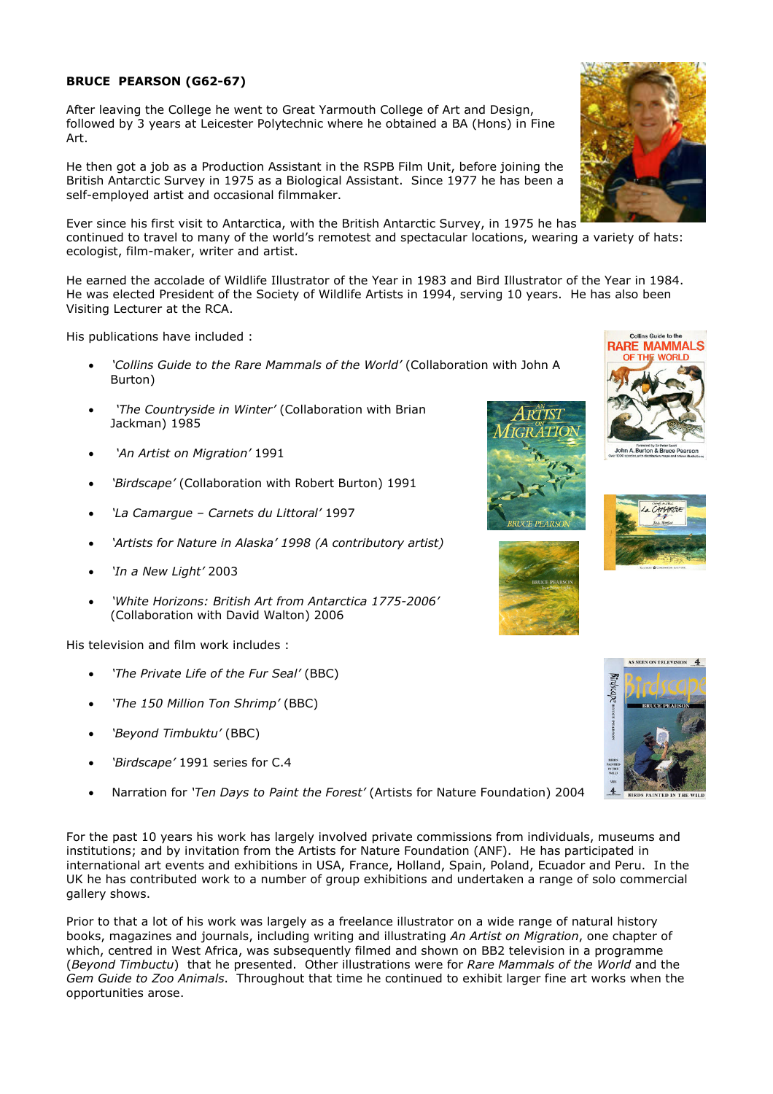## BRUCE PEARSON (G62-67)

After leaving the College he went to Great Yarmouth College of Art and Design, followed by 3 years at Leicester Polytechnic where he obtained a BA (Hons) in Fine Art.

He then got a job as a Production Assistant in the RSPB Film Unit, before joining the British Antarctic Survey in 1975 as a Biological Assistant. Since 1977 he has been a self-employed artist and occasional filmmaker.

Ever since his first visit to Antarctica, with the British Antarctic Survey, in 1975 he has continued to travel to many of the world's remotest and spectacular locations, wearing a variety of hats: ecologist, film-maker, writer and artist.

He earned the accolade of Wildlife Illustrator of the Year in 1983 and Bird Illustrator of the Year in 1984. He was elected President of the Society of Wildlife Artists in 1994, serving 10 years. He has also been Visiting Lecturer at the RCA.

His publications have included :

- 'Collins Guide to the Rare Mammals of the World' (Collaboration with John A Burton)
- 'The Countryside in Winter' (Collaboration with Brian Jackman) 1985
- 'An Artist on Migration' 1991
- 'Birdscape' (Collaboration with Robert Burton) 1991
- 'La Camargue Carnets du Littoral' 1997
- 'Artists for Nature in Alaska' 1998 (A contributory artist)
- 'In a New Light' 2003
- 'White Horizons: British Art from Antarctica 1775-2006' (Collaboration with David Walton) 2006

His television and film work includes :

- 'The Private Life of the Fur Seal' (BBC)
- 'The 150 Million Ton Shrimp' (BBC)
- 'Beyond Timbuktu' (BBC)
- 'Birdscape' 1991 series for C.4
- Narration for 'Ten Days to Paint the Forest' (Artists for Nature Foundation) 2004

For the past 10 years his work has largely involved private commissions from individuals, museums and institutions; and by invitation from the Artists for Nature Foundation (ANF). He has participated in international art events and exhibitions in USA, France, Holland, Spain, Poland, Ecuador and Peru. In the UK he has contributed work to a number of group exhibitions and undertaken a range of solo commercial gallery shows.

Prior to that a lot of his work was largely as a freelance illustrator on a wide range of natural history books, magazines and journals, including writing and illustrating An Artist on Migration, one chapter of which, centred in West Africa, was subsequently filmed and shown on BB2 television in a programme (Beyond Timbuctu) that he presented. Other illustrations were for Rare Mammals of the World and the Gem Guide to Zoo Animals. Throughout that time he continued to exhibit larger fine art works when the opportunities arose.









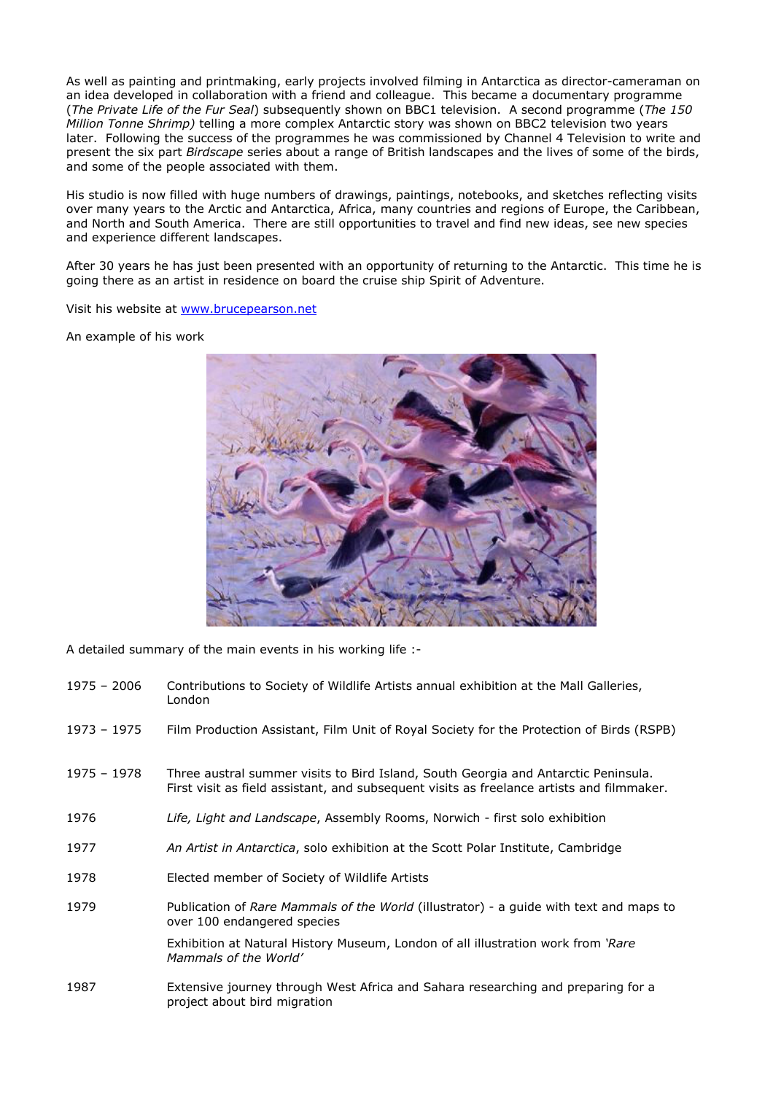As well as painting and printmaking, early projects involved filming in Antarctica as director-cameraman on an idea developed in collaboration with a friend and colleague. This became a documentary programme (The Private Life of the Fur Seal) subsequently shown on BBC1 television. A second programme (The 150) Million Tonne Shrimp) telling a more complex Antarctic story was shown on BBC2 television two years later. Following the success of the programmes he was commissioned by Channel 4 Television to write and present the six part Birdscape series about a range of British landscapes and the lives of some of the birds, and some of the people associated with them.

His studio is now filled with huge numbers of drawings, paintings, notebooks, and sketches reflecting visits over many years to the Arctic and Antarctica, Africa, many countries and regions of Europe, the Caribbean, and North and South America. There are still opportunities to travel and find new ideas, see new species and experience different landscapes.

After 30 years he has just been presented with an opportunity of returning to the Antarctic. This time he is going there as an artist in residence on board the cruise ship Spirit of Adventure.

Visit his website at www.brucepearson.net

An example of his work



A detailed summary of the main events in his working life :-

- 1975 2006 Contributions to Society of Wildlife Artists annual exhibition at the Mall Galleries, London
- 1973 1975 Film Production Assistant, Film Unit of Royal Society for the Protection of Birds (RSPB)
- 1975 1978 Three austral summer visits to Bird Island, South Georgia and Antarctic Peninsula. First visit as field assistant, and subsequent visits as freelance artists and filmmaker.
- 1976 Life, Light and Landscape, Assembly Rooms, Norwich first solo exhibition
- 1977 An Artist in Antarctica, solo exhibition at the Scott Polar Institute, Cambridge
- 1978 Elected member of Society of Wildlife Artists
- 1979 Publication of Rare Mammals of the World (illustrator) a quide with text and maps to over 100 endangered species

Exhibition at Natural History Museum, London of all illustration work from 'Rare Mammals of the World'

1987 Extensive journey through West Africa and Sahara researching and preparing for a project about bird migration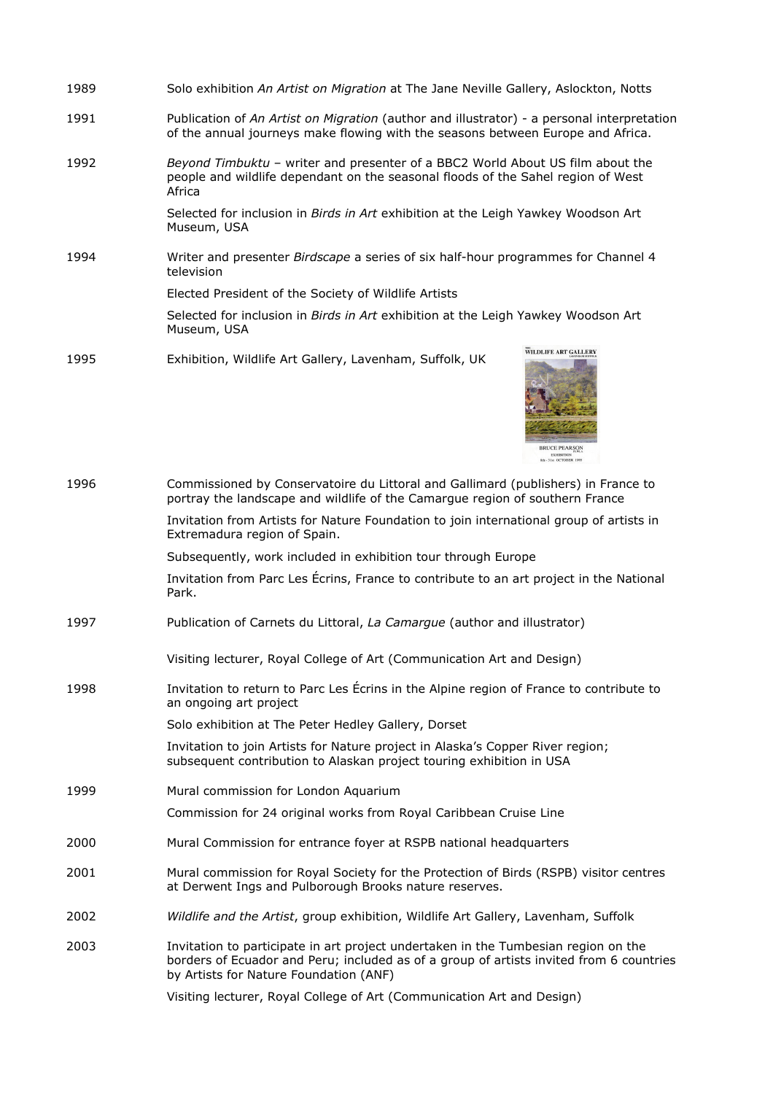| 1989 | Solo exhibition An Artist on Migration at The Jane Neville Gallery, Aslockton, Notts                                                                                          |
|------|-------------------------------------------------------------------------------------------------------------------------------------------------------------------------------|
| 1991 | Publication of An Artist on Migration (author and illustrator) - a personal interpretation<br>of the annual journeys make flowing with the seasons between Europe and Africa. |
| 1992 | Beyond Timbuktu - writer and presenter of a BBC2 World About US film about the<br>people and wildlife dependant on the seasonal floods of the Sahel region of West<br>Africa  |
|      | Selected for inclusion in <i>Birds in Art</i> exhibition at the Leigh Yawkey Woodson Art<br>Museum, USA                                                                       |
| 1994 | Writer and presenter Birdscape a series of six half-hour programmes for Channel 4<br>television                                                                               |
|      | Elected President of the Society of Wildlife Artists                                                                                                                          |
|      | Selected for inclusion in Birds in Art exhibition at the Leigh Yawkey Woodson Art<br>Museum, USA                                                                              |
| 1995 | <b>WILDLIFE ART GALLERY</b><br>Exhibition, Wildlife Art Gallery, Lavenham, Suffolk, UK                                                                                        |



| 1996 | Commissioned by Conservatoire du Littoral and Gallimard (publishers) in France to<br>portray the landscape and wildlife of the Camarque region of southern France                                                       |
|------|-------------------------------------------------------------------------------------------------------------------------------------------------------------------------------------------------------------------------|
|      | Invitation from Artists for Nature Foundation to join international group of artists in<br>Extremadura region of Spain.                                                                                                 |
|      | Subsequently, work included in exhibition tour through Europe                                                                                                                                                           |
|      | Invitation from Parc Les Écrins, France to contribute to an art project in the National<br>Park.                                                                                                                        |
| 1997 | Publication of Carnets du Littoral, La Camarque (author and illustrator)                                                                                                                                                |
|      | Visiting lecturer, Royal College of Art (Communication Art and Design)                                                                                                                                                  |
| 1998 | Invitation to return to Parc Les Écrins in the Alpine region of France to contribute to<br>an ongoing art project                                                                                                       |
|      | Solo exhibition at The Peter Hedley Gallery, Dorset                                                                                                                                                                     |
|      | Invitation to join Artists for Nature project in Alaska's Copper River region;<br>subsequent contribution to Alaskan project touring exhibition in USA                                                                  |
| 1999 | Mural commission for London Aquarium                                                                                                                                                                                    |
|      | Commission for 24 original works from Royal Caribbean Cruise Line                                                                                                                                                       |
| 2000 | Mural Commission for entrance foyer at RSPB national headquarters                                                                                                                                                       |
| 2001 | Mural commission for Royal Society for the Protection of Birds (RSPB) visitor centres<br>at Derwent Ings and Pulborough Brooks nature reserves.                                                                         |
| 2002 | Wildlife and the Artist, group exhibition, Wildlife Art Gallery, Lavenham, Suffolk                                                                                                                                      |
| 2003 | Invitation to participate in art project undertaken in the Tumbesian region on the<br>borders of Ecuador and Peru; included as of a group of artists invited from 6 countries<br>by Artists for Nature Foundation (ANF) |
|      | Visiting lecturer, Royal College of Art (Communication Art and Design)                                                                                                                                                  |